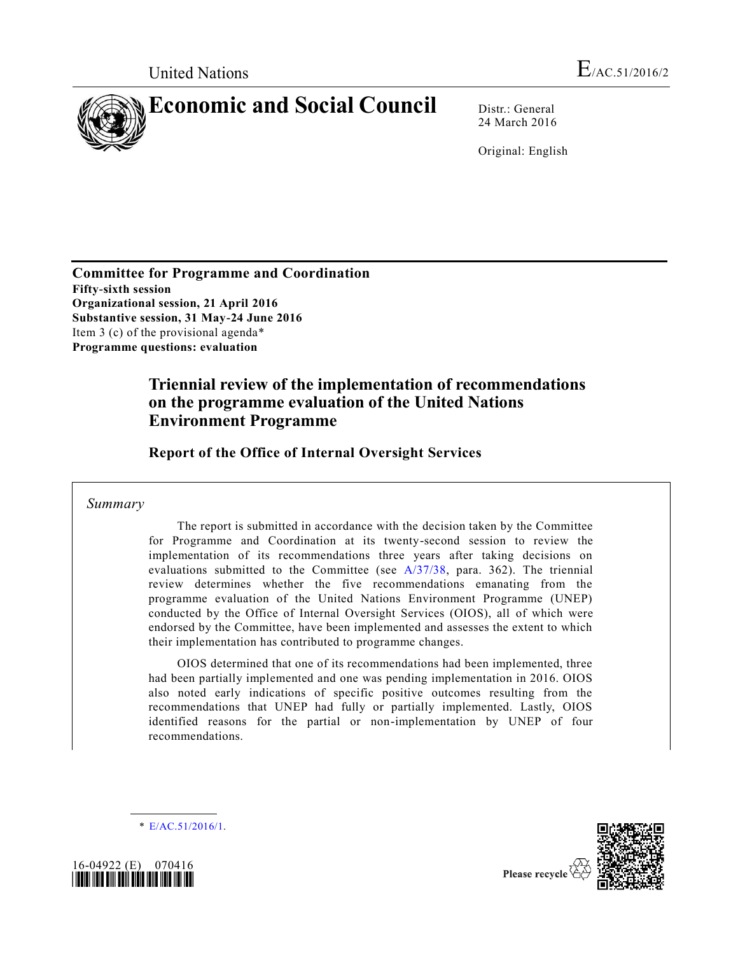

24 March 2016

Original: English

**Committee for Programme and Coordination Fifty-sixth session Organizational session, 21 April 2016 Substantive session, 31 May-24 June 2016** Item 3 (c) of the provisional agenda\* **Programme questions: evaluation**

# **Triennial review of the implementation of recommendations on the programme evaluation of the United Nations Environment Programme**

**Report of the Office of Internal Oversight Services** 

*Summary*

The report is submitted in accordance with the decision taken by the Committee for Programme and Coordination at its twenty-second session to review the implementation of its recommendations three years after taking decisions on evaluations submitted to the Committee (see [A/37/38,](http://undocs.org/A/37/38) para. 362). The triennial review determines whether the five recommendations emanating from the programme evaluation of the United Nations Environment Programme (UNEP) conducted by the Office of Internal Oversight Services (OIOS), all of which were endorsed by the Committee, have been implemented and assesses the extent to which their implementation has contributed to programme changes.

OIOS determined that one of its recommendations had been implemented, three had been partially implemented and one was pending implementation in 2016. OIOS also noted early indications of specific positive outcomes resulting from the recommendations that UNEP had fully or partially implemented. Lastly, OIOS identified reasons for the partial or non-implementation by UNEP of four recommendations.

\* [E/AC.51/2016/1.](http://undocs.org/E/AC.51/2016/1)



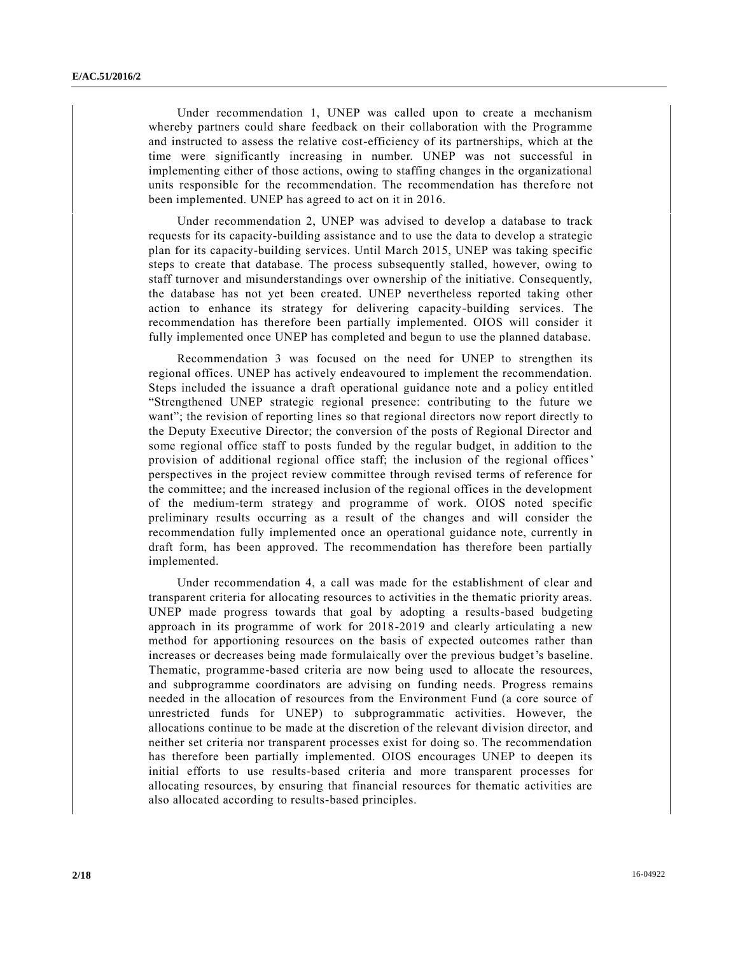Under recommendation 1, UNEP was called upon to create a mechanism whereby partners could share feedback on their collaboration with the Programme and instructed to assess the relative cost-efficiency of its partnerships, which at the time were significantly increasing in number. UNEP was not successful in implementing either of those actions, owing to staffing changes in the organizational units responsible for the recommendation. The recommendation has therefore not been implemented. UNEP has agreed to act on it in 2016.

Under recommendation 2, UNEP was advised to develop a database to track requests for its capacity-building assistance and to use the data to develop a strategic plan for its capacity-building services. Until March 2015, UNEP was taking specific steps to create that database. The process subsequently stalled, however, owing to staff turnover and misunderstandings over ownership of the initiative. Consequently, the database has not yet been created. UNEP nevertheless reported taking other action to enhance its strategy for delivering capacity-building services. The recommendation has therefore been partially implemented. OIOS will consider it fully implemented once UNEP has completed and begun to use the planned database.

Recommendation 3 was focused on the need for UNEP to strengthen its regional offices. UNEP has actively endeavoured to implement the recommendation. Steps included the issuance a draft operational guidance note and a policy entitled "Strengthened UNEP strategic regional presence: contributing to the future we want"; the revision of reporting lines so that regional directors now report directly to the Deputy Executive Director; the conversion of the posts of Regional Director and some regional office staff to posts funded by the regular budget, in addition to the provision of additional regional office staff; the inclusion of the regional offices' perspectives in the project review committee through revised terms of reference for the committee; and the increased inclusion of the regional offices in the development of the medium-term strategy and programme of work. OIOS noted specific preliminary results occurring as a result of the changes and will consider the recommendation fully implemented once an operational guidance note, currently in draft form, has been approved. The recommendation has therefore been partially implemented.

Under recommendation 4, a call was made for the establishment of clear and transparent criteria for allocating resources to activities in the thematic priority areas. UNEP made progress towards that goal by adopting a results-based budgeting approach in its programme of work for 2018-2019 and clearly articulating a new method for apportioning resources on the basis of expected outcomes rather than increases or decreases being made formulaically over the previous budget's baseline. Thematic, programme-based criteria are now being used to allocate the resources, and subprogramme coordinators are advising on funding needs. Progress remains needed in the allocation of resources from the Environment Fund (a core source of unrestricted funds for UNEP) to subprogrammatic activities. However, the allocations continue to be made at the discretion of the relevant division director, and neither set criteria nor transparent processes exist for doing so. The recommendation has therefore been partially implemented. OIOS encourages UNEP to deepen its initial efforts to use results-based criteria and more transparent processes for allocating resources, by ensuring that financial resources for thematic activities are also allocated according to results-based principles.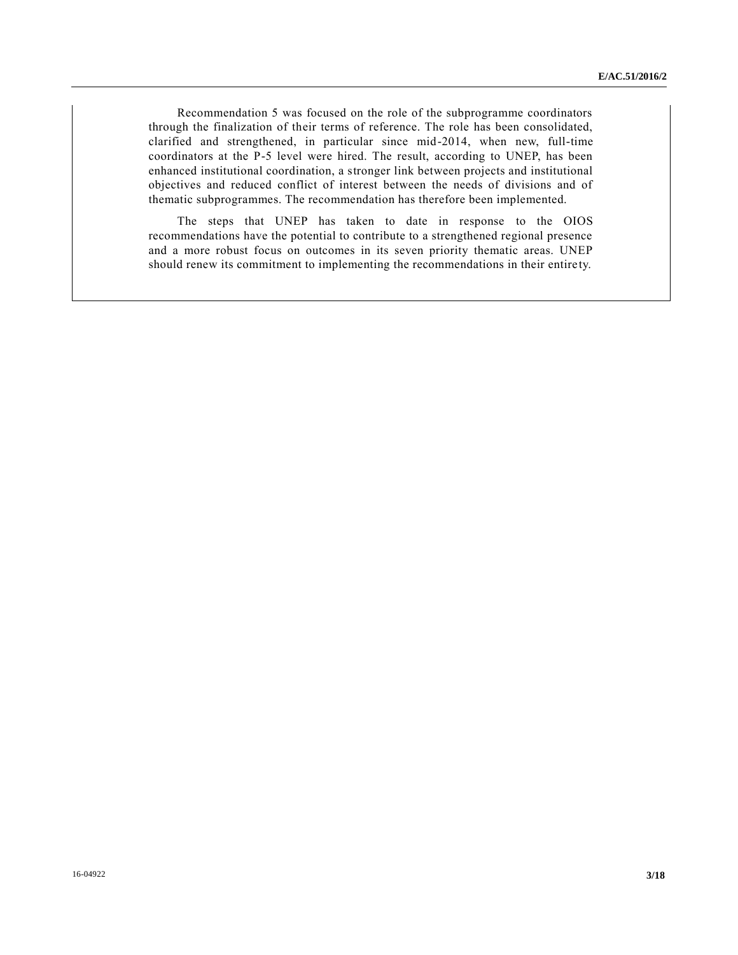Recommendation 5 was focused on the role of the subprogramme coordinators through the finalization of their terms of reference. The role has been consolidated, clarified and strengthened, in particular since mid-2014, when new, full-time coordinators at the P-5 level were hired. The result, according to UNEP, has been enhanced institutional coordination, a stronger link between projects and institutional objectives and reduced conflict of interest between the needs of divisions and of thematic subprogrammes. The recommendation has therefore been implemented.

The steps that UNEP has taken to date in response to the OIOS recommendations have the potential to contribute to a strengthened regional presence and a more robust focus on outcomes in its seven priority thematic areas. UNEP should renew its commitment to implementing the recommendations in their entire ty.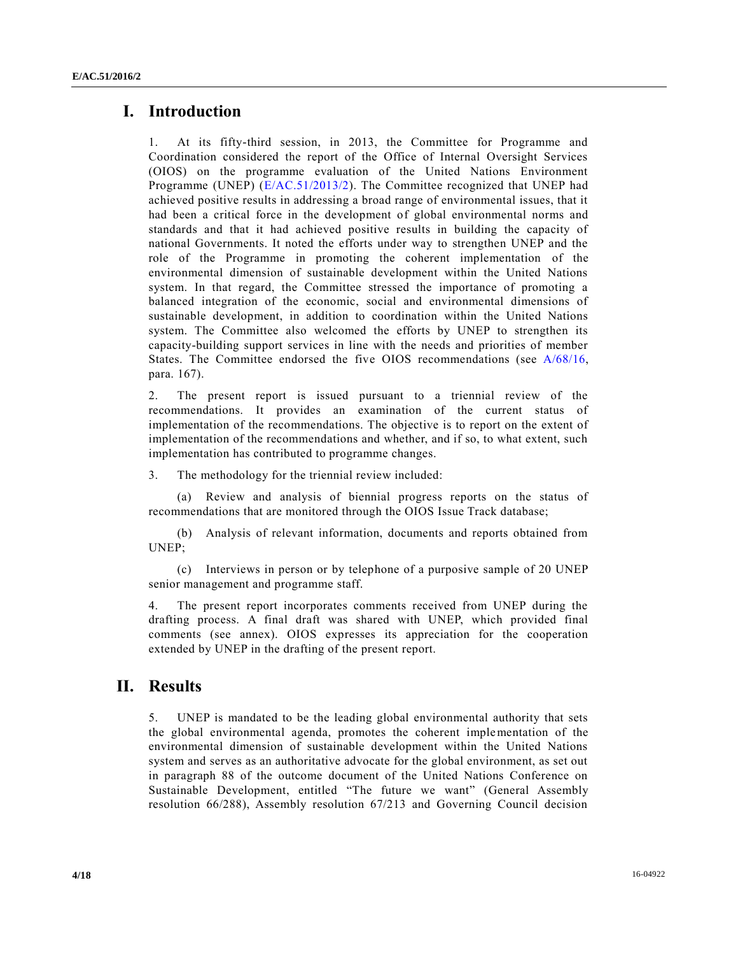## **I. Introduction**

1. At its fifty-third session, in 2013, the Committee for Programme and Coordination considered the report of the Office of Internal Oversight Services (OIOS) on the programme evaluation of the United Nations Environment Programme (UNEP) [\(E/AC.51/2013/2\)](http://undocs.org/E/AC.51/2013/2). The Committee recognized that UNEP had achieved positive results in addressing a broad range of environmental issues, that it had been a critical force in the development of global environmental norms and standards and that it had achieved positive results in building the capacity of national Governments. It noted the efforts under way to strengthen UNEP and the role of the Programme in promoting the coherent implementation of the environmental dimension of sustainable development within the United Nations system. In that regard, the Committee stressed the importance of promoting a balanced integration of the economic, social and environmental dimensions of sustainable development, in addition to coordination within the United Nations system. The Committee also welcomed the efforts by UNEP to strengthen its capacity-building support services in line with the needs and priorities of member States. The Committee endorsed the five OIOS recommendations (see [A/68/16,](http://undocs.org/A/68/16) para. 167).

2. The present report is issued pursuant to a triennial review of the recommendations. It provides an examination of the current status of implementation of the recommendations. The objective is to report on the extent of implementation of the recommendations and whether, and if so, to what extent, such implementation has contributed to programme changes.

3. The methodology for the triennial review included:

(a) Review and analysis of biennial progress reports on the status of recommendations that are monitored through the OIOS Issue Track database;

(b) Analysis of relevant information, documents and reports obtained from UNEP;

(c) Interviews in person or by telephone of a purposive sample of 20 UNEP senior management and programme staff.

4. The present report incorporates comments received from UNEP during the drafting process. A final draft was shared with UNEP, which provided final comments (see annex). OIOS expresses its appreciation for the cooperation extended by UNEP in the drafting of the present report.

## **II. Results**

5. UNEP is mandated to be the leading global environmental authority that sets the global environmental agenda, promotes the coherent implementation of the environmental dimension of sustainable development within the United Nations system and serves as an authoritative advocate for the global environment, as set out in paragraph 88 of the outcome document of the United Nations Conference on Sustainable Development, entitled "The future we want" (General Assembly resolution 66/288), Assembly resolution 67/213 and Governing Council decision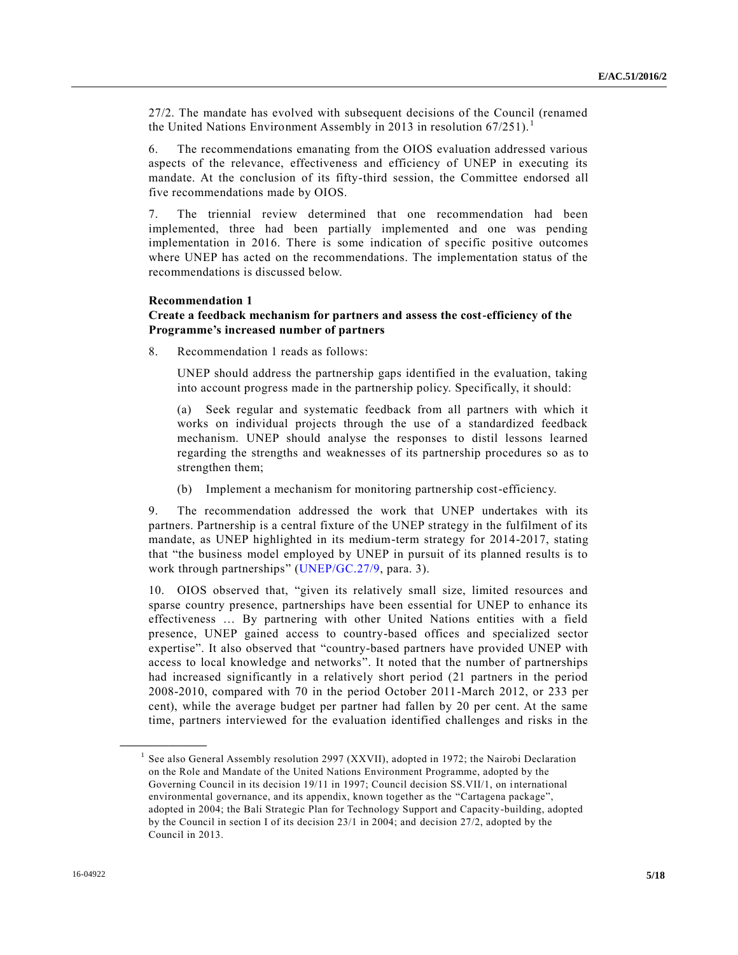27/2. The mandate has evolved with subsequent decisions of the Council (renamed the United Nations Environment Assembly in 2013 in resolution  $67/251$ ).<sup>1</sup>

6. The recommendations emanating from the OIOS evaluation addressed various aspects of the relevance, effectiveness and efficiency of UNEP in executing its mandate. At the conclusion of its fifty-third session, the Committee endorsed all five recommendations made by OIOS.

7. The triennial review determined that one recommendation had been implemented, three had been partially implemented and one was pending implementation in 2016. There is some indication of specific positive outcomes where UNEP has acted on the recommendations. The implementation status of the recommendations is discussed below.

#### **Recommendation 1**

### **Create a feedback mechanism for partners and assess the cost-efficiency of the Programme's increased number of partners**

8. Recommendation 1 reads as follows:

UNEP should address the partnership gaps identified in the evaluation, taking into account progress made in the partnership policy. Specifically, it should:

(a) Seek regular and systematic feedback from all partners with which it works on individual projects through the use of a standardized feedback mechanism. UNEP should analyse the responses to distil lessons learned regarding the strengths and weaknesses of its partnership procedures so as to strengthen them;

(b) Implement a mechanism for monitoring partnership cost-efficiency.

9. The recommendation addressed the work that UNEP undertakes with its partners. Partnership is a central fixture of the UNEP strategy in the fulfilment of its mandate, as UNEP highlighted in its medium-term strategy for 2014-2017, stating that "the business model employed by UNEP in pursuit of its planned results is to work through partnerships" [\(UNEP/GC.27/9,](http://undocs.org/UNEP/GC.27/9) para. 3).

10. OIOS observed that, "given its relatively small size, limited resources and sparse country presence, partnerships have been essential for UNEP to enhance its effectiveness … By partnering with other United Nations entities with a field presence, UNEP gained access to country-based offices and specialized sector expertise". It also observed that "country-based partners have provided UNEP with access to local knowledge and networks". It noted that the number of partnerships had increased significantly in a relatively short period (21 partners in the period 2008-2010, compared with 70 in the period October 2011-March 2012, or 233 per cent), while the average budget per partner had fallen by 20 per cent. At the same time, partners interviewed for the evaluation identified challenges and risks in the

<sup>&</sup>lt;sup>1</sup> See also General Assembly resolution 2997 (XXVII), adopted in 1972; the Nairobi Declaration on the Role and Mandate of the United Nations Environment Programme, adopted by the Governing Council in its decision 19/11 in 1997; Council decision SS.VII/1, on i nternational environmental governance, and its appendix, known together as the "Cartagena package", adopted in 2004; the Bali Strategic Plan for Technology Support and Capacity-building, adopted by the Council in section I of its decision 23/1 in 2004; and decision 27/2, adopted by the Council in 2013.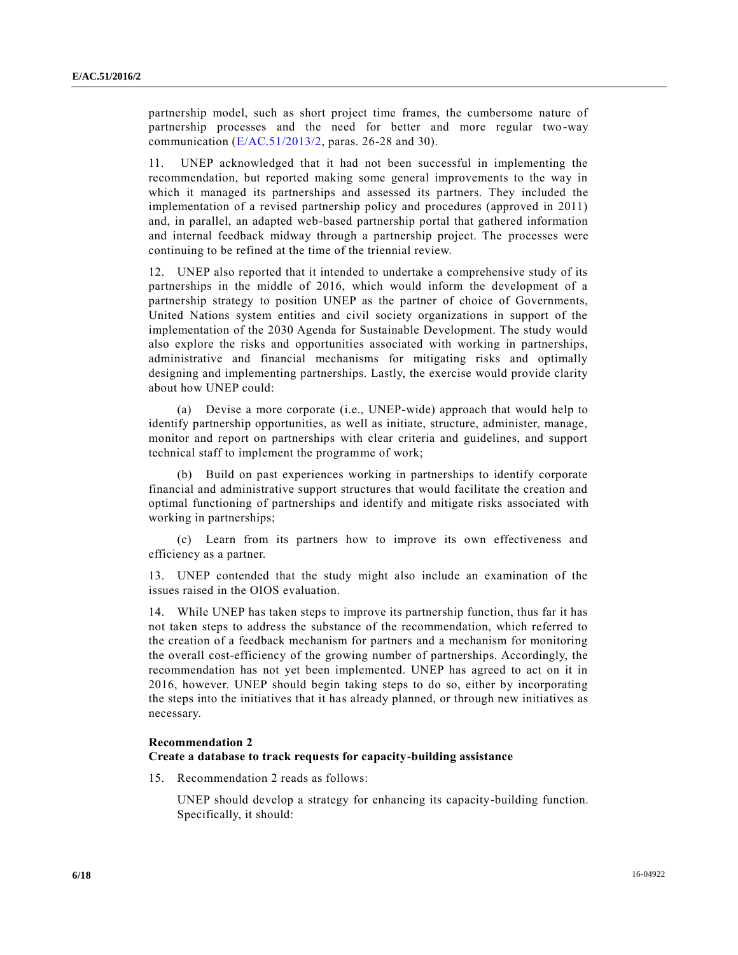partnership model, such as short project time frames, the cumbersome nature of partnership processes and the need for better and more regular two -way communication [\(E/AC.51/2013/2,](http://undocs.org/E/AC.51/2013/2) paras. 26-28 and 30).

11. UNEP acknowledged that it had not been successful in implementing the recommendation, but reported making some general improvements to the way in which it managed its partnerships and assessed its partners. They included the implementation of a revised partnership policy and procedures (approved in 2011) and, in parallel, an adapted web-based partnership portal that gathered information and internal feedback midway through a partnership project. The processes were continuing to be refined at the time of the triennial review.

12. UNEP also reported that it intended to undertake a comprehensive study of its partnerships in the middle of 2016, which would inform the development of a partnership strategy to position UNEP as the partner of choice of Governments, United Nations system entities and civil society organizations in support of the implementation of the 2030 Agenda for Sustainable Development. The study would also explore the risks and opportunities associated with working in partnerships, administrative and financial mechanisms for mitigating risks and optimally designing and implementing partnerships. Lastly, the exercise would provide clarity about how UNEP could:

(a) Devise a more corporate (i.e., UNEP-wide) approach that would help to identify partnership opportunities, as well as initiate, structure, administer, manage, monitor and report on partnerships with clear criteria and guidelines, and support technical staff to implement the programme of work;

(b) Build on past experiences working in partnerships to identify corporate financial and administrative support structures that would facilitate the creation and optimal functioning of partnerships and identify and mitigate risks associated with working in partnerships;

(c) Learn from its partners how to improve its own effectiveness and efficiency as a partner.

13. UNEP contended that the study might also include an examination of the issues raised in the OIOS evaluation.

14. While UNEP has taken steps to improve its partnership function, thus far it has not taken steps to address the substance of the recommendation, which referred to the creation of a feedback mechanism for partners and a mechanism for monitoring the overall cost-efficiency of the growing number of partnerships. Accordingly, the recommendation has not yet been implemented. UNEP has agreed to act on it in 2016, however. UNEP should begin taking steps to do so, either by incorporating the steps into the initiatives that it has already planned, or through new initiatives as necessary.

#### **Recommendation 2**

#### **Create a database to track requests for capacity-building assistance**

15. Recommendation 2 reads as follows:

UNEP should develop a strategy for enhancing its capacity-building function. Specifically, it should: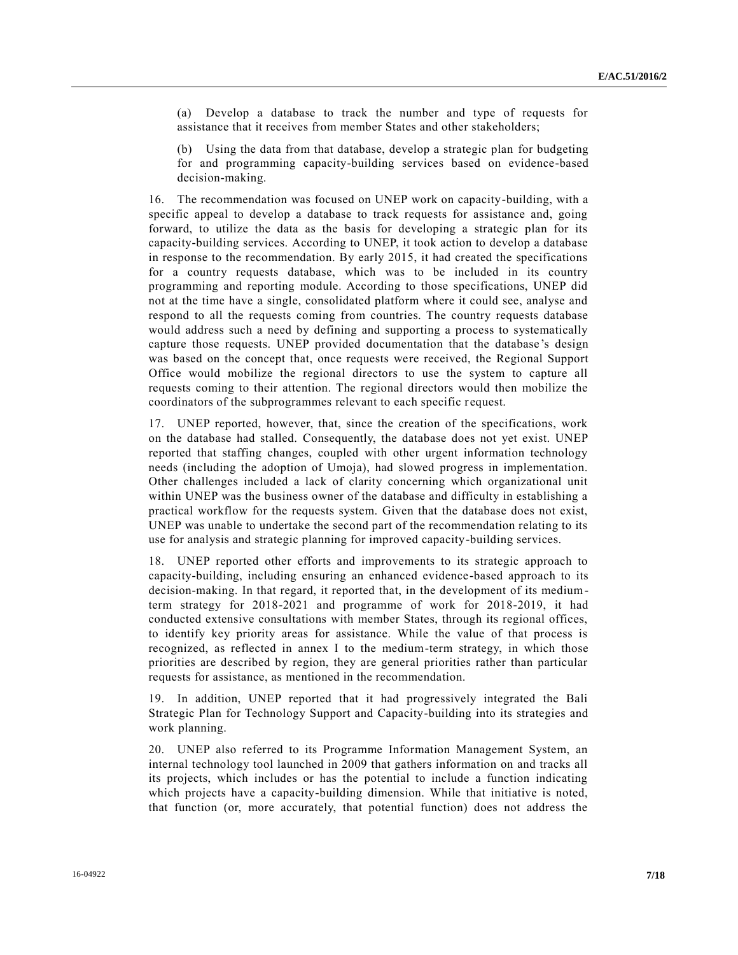(a) Develop a database to track the number and type of requests for assistance that it receives from member States and other stakeholders;

(b) Using the data from that database, develop a strategic plan for budgeting for and programming capacity-building services based on evidence-based decision-making.

16. The recommendation was focused on UNEP work on capacity-building, with a specific appeal to develop a database to track requests for assistance and, going forward, to utilize the data as the basis for developing a strategic plan for its capacity-building services. According to UNEP, it took action to develop a database in response to the recommendation. By early 2015, it had created the specifications for a country requests database, which was to be included in its country programming and reporting module. According to those specifications, UNEP did not at the time have a single, consolidated platform where it could see, analyse and respond to all the requests coming from countries. The country requests database would address such a need by defining and supporting a process to systematically capture those requests. UNEP provided documentation that the database 's design was based on the concept that, once requests were received, the Regional Support Office would mobilize the regional directors to use the system to capture all requests coming to their attention. The regional directors would then mobilize the coordinators of the subprogrammes relevant to each specific request.

17. UNEP reported, however, that, since the creation of the specifications, work on the database had stalled. Consequently, the database does not yet exist. UNEP reported that staffing changes, coupled with other urgent information technology needs (including the adoption of Umoja), had slowed progress in implementation. Other challenges included a lack of clarity concerning which organizational unit within UNEP was the business owner of the database and difficulty in establishing a practical workflow for the requests system. Given that the database does not exist, UNEP was unable to undertake the second part of the recommendation relating to its use for analysis and strategic planning for improved capacity-building services.

18. UNEP reported other efforts and improvements to its strategic approach to capacity-building, including ensuring an enhanced evidence-based approach to its decision-making. In that regard, it reported that, in the development of its mediumterm strategy for 2018-2021 and programme of work for 2018-2019, it had conducted extensive consultations with member States, through its regional offices, to identify key priority areas for assistance. While the value of that process is recognized, as reflected in annex I to the medium-term strategy, in which those priorities are described by region, they are general priorities rather than particular requests for assistance, as mentioned in the recommendation.

19. In addition, UNEP reported that it had progressively integrated the Bali Strategic Plan for Technology Support and Capacity-building into its strategies and work planning.

20. UNEP also referred to its Programme Information Management System, an internal technology tool launched in 2009 that gathers information on and tracks all its projects, which includes or has the potential to include a function indicating which projects have a capacity-building dimension. While that initiative is noted, that function (or, more accurately, that potential function) does not address the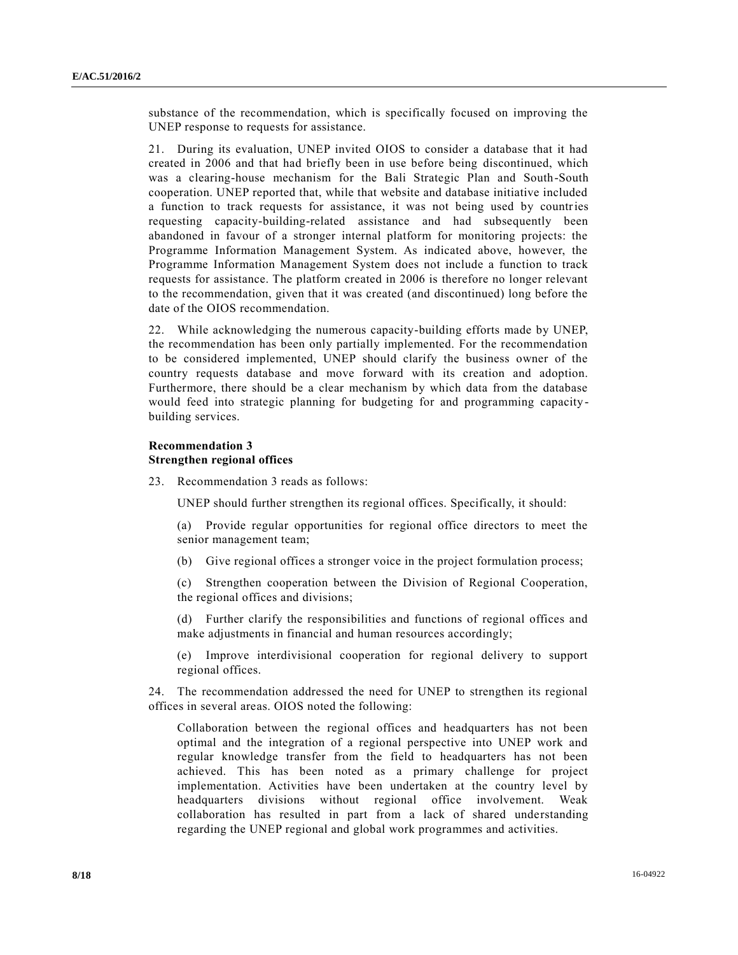substance of the recommendation, which is specifically focused on improving the UNEP response to requests for assistance.

21. During its evaluation, UNEP invited OIOS to consider a database that it had created in 2006 and that had briefly been in use before being discontinued, which was a clearing-house mechanism for the Bali Strategic Plan and South-South cooperation. UNEP reported that, while that website and database initiative included a function to track requests for assistance, it was not being used by countries requesting capacity-building-related assistance and had subsequently been abandoned in favour of a stronger internal platform for monitoring projects: the Programme Information Management System. As indicated above, however, the Programme Information Management System does not include a function to track requests for assistance. The platform created in 2006 is therefore no longer relevant to the recommendation, given that it was created (and discontinued) long before the date of the OIOS recommendation.

22. While acknowledging the numerous capacity-building efforts made by UNEP, the recommendation has been only partially implemented. For the recommendation to be considered implemented, UNEP should clarify the business owner of the country requests database and move forward with its creation and adoption. Furthermore, there should be a clear mechanism by which data from the database would feed into strategic planning for budgeting for and programming capacity building services.

### **Recommendation 3 Strengthen regional offices**

23. Recommendation 3 reads as follows:

UNEP should further strengthen its regional offices. Specifically, it should:

(a) Provide regular opportunities for regional office directors to meet the senior management team;

(b) Give regional offices a stronger voice in the project formulation process;

(c) Strengthen cooperation between the Division of Regional Cooperation, the regional offices and divisions;

(d) Further clarify the responsibilities and functions of regional offices and make adjustments in financial and human resources accordingly;

(e) Improve interdivisional cooperation for regional delivery to support regional offices.

24. The recommendation addressed the need for UNEP to strengthen its regional offices in several areas. OIOS noted the following:

Collaboration between the regional offices and headquarters has not been optimal and the integration of a regional perspective into UNEP work and regular knowledge transfer from the field to headquarters has not been achieved. This has been noted as a primary challenge for project implementation. Activities have been undertaken at the country level by headquarters divisions without regional office involvement. Weak collaboration has resulted in part from a lack of shared understanding regarding the UNEP regional and global work programmes and activities.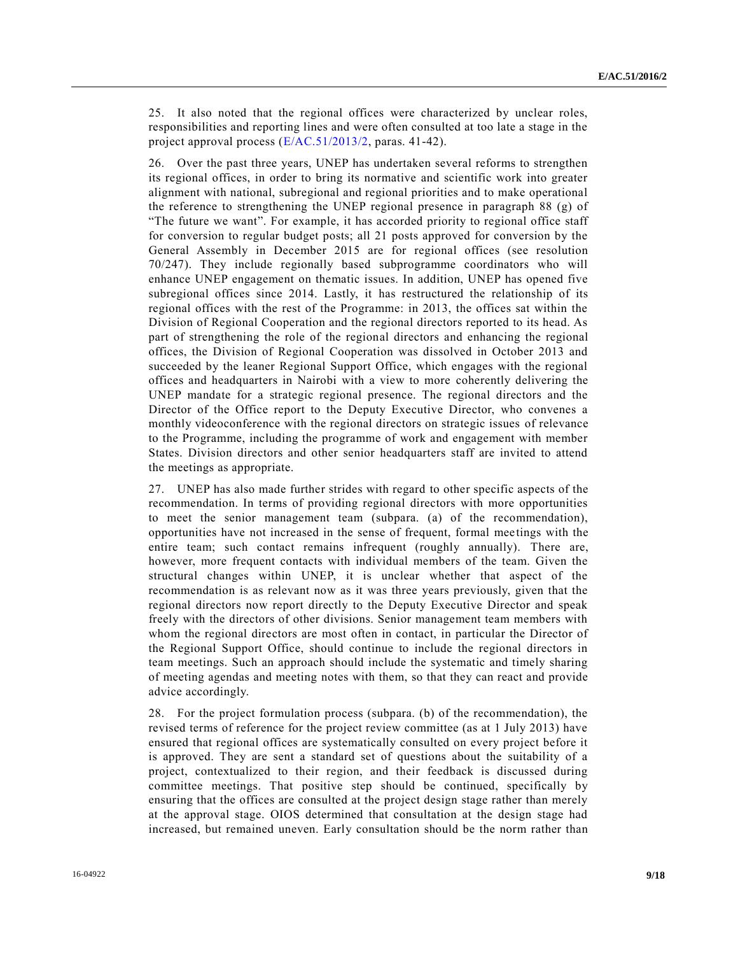25. It also noted that the regional offices were characterized by unclear roles, responsibilities and reporting lines and were often consulted at too late a stage in the project approval process [\(E/AC.51/2013/2,](http://undocs.org/E/AC.51/2013/2) paras. 41-42).

26. Over the past three years, UNEP has undertaken several reforms to strengthen its regional offices, in order to bring its normative and scientific work into greater alignment with national, subregional and regional priorities and to make operational the reference to strengthening the UNEP regional presence in paragraph 88 (g) of "The future we want". For example, it has accorded priority to regional office staff for conversion to regular budget posts; all 21 posts approved for conversion by the General Assembly in December 2015 are for regional offices (see resolution 70/247). They include regionally based subprogramme coordinators who will enhance UNEP engagement on thematic issues. In addition, UNEP has opened five subregional offices since 2014. Lastly, it has restructured the relationship of its regional offices with the rest of the Programme: in 2013, the offices sat within the Division of Regional Cooperation and the regional directors reported to its head. As part of strengthening the role of the regional directors and enhancing the regional offices, the Division of Regional Cooperation was dissolved in October 2013 and succeeded by the leaner Regional Support Office, which engages with the regional offices and headquarters in Nairobi with a view to more coherently delivering the UNEP mandate for a strategic regional presence. The regional directors and the Director of the Office report to the Deputy Executive Director, who convenes a monthly videoconference with the regional directors on strategic issues of relevance to the Programme, including the programme of work and engagement with member States. Division directors and other senior headquarters staff are invited to attend the meetings as appropriate.

27. UNEP has also made further strides with regard to other specific aspects of the recommendation. In terms of providing regional directors with more opportunities to meet the senior management team (subpara. (a) of the recommendation), opportunities have not increased in the sense of frequent, formal mee tings with the entire team; such contact remains infrequent (roughly annually). There are, however, more frequent contacts with individual members of the team. Given the structural changes within UNEP, it is unclear whether that aspect of the recommendation is as relevant now as it was three years previously, given that the regional directors now report directly to the Deputy Executive Director and speak freely with the directors of other divisions. Senior management team members with whom the regional directors are most often in contact, in particular the Director of the Regional Support Office, should continue to include the regional directors in team meetings. Such an approach should include the systematic and timely sharing of meeting agendas and meeting notes with them, so that they can react and provide advice accordingly.

28. For the project formulation process (subpara. (b) of the recommendation), the revised terms of reference for the project review committee (as at 1 July 2013) have ensured that regional offices are systematically consulted on every project before it is approved. They are sent a standard set of questions about the suitability of a project, contextualized to their region, and their feedback is discussed during committee meetings. That positive step should be continued, specifically by ensuring that the offices are consulted at the project design stage rather than merely at the approval stage. OIOS determined that consultation at the design stage had increased, but remained uneven. Early consultation should be the norm rather than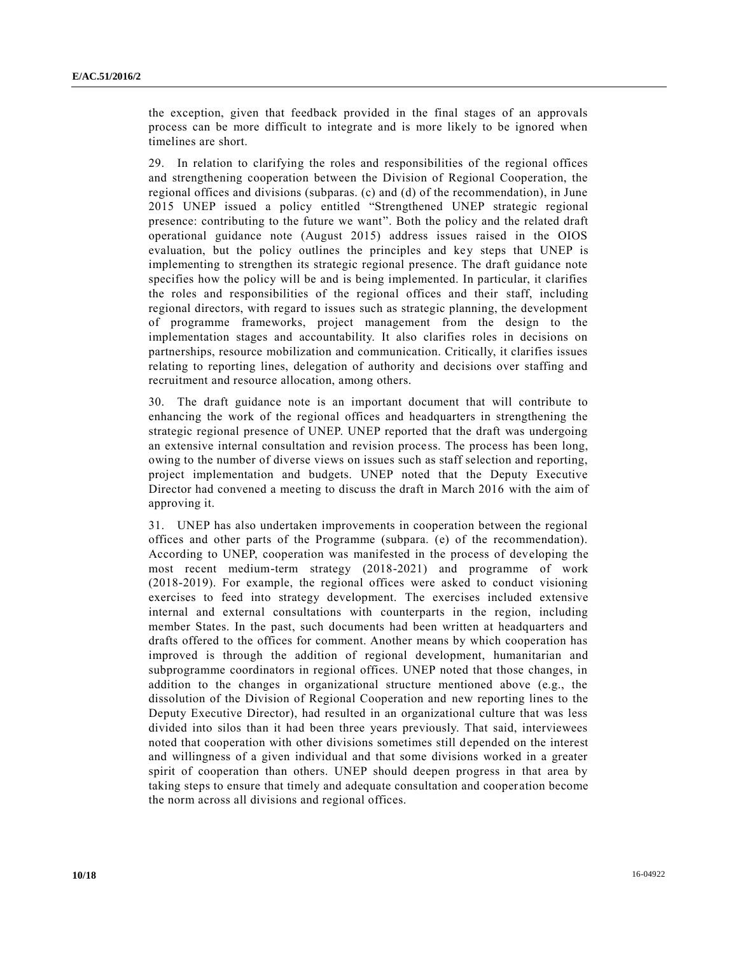the exception, given that feedback provided in the final stages of an approvals process can be more difficult to integrate and is more likely to be ignored when timelines are short.

29. In relation to clarifying the roles and responsibilities of the regional offices and strengthening cooperation between the Division of Regional Cooperation, the regional offices and divisions (subparas. (c) and (d) of the recommendation), in June 2015 UNEP issued a policy entitled "Strengthened UNEP strategic regional presence: contributing to the future we want". Both the policy and the related draft operational guidance note (August 2015) address issues raised in the OIOS evaluation, but the policy outlines the principles and key steps that UNEP is implementing to strengthen its strategic regional presence. The draft guidance note specifies how the policy will be and is being implemented. In particular, it clarifies the roles and responsibilities of the regional offices and their staff, including regional directors, with regard to issues such as strategic planning, the development of programme frameworks, project management from the design to the implementation stages and accountability. It also clarifies roles in decisions on partnerships, resource mobilization and communication. Critically, it clarifies issues relating to reporting lines, delegation of authority and decisions over staffing and recruitment and resource allocation, among others.

30. The draft guidance note is an important document that will contribute to enhancing the work of the regional offices and headquarters in strengthening the strategic regional presence of UNEP. UNEP reported that the draft was undergoing an extensive internal consultation and revision process. The process has been long, owing to the number of diverse views on issues such as staff selection and reporting, project implementation and budgets. UNEP noted that the Deputy Executive Director had convened a meeting to discuss the draft in March 2016 with the aim of approving it.

31. UNEP has also undertaken improvements in cooperation between the regional offices and other parts of the Programme (subpara. (e) of the recommendation). According to UNEP, cooperation was manifested in the process of developing the most recent medium-term strategy (2018-2021) and programme of work (2018-2019). For example, the regional offices were asked to conduct visioning exercises to feed into strategy development. The exercises included extensive internal and external consultations with counterparts in the region, including member States. In the past, such documents had been written at headquarters and drafts offered to the offices for comment. Another means by which cooperation has improved is through the addition of regional development, humanitarian and subprogramme coordinators in regional offices. UNEP noted that those changes, in addition to the changes in organizational structure mentioned above (e.g., the dissolution of the Division of Regional Cooperation and new reporting lines to the Deputy Executive Director), had resulted in an organizational culture that was less divided into silos than it had been three years previously. That said, interviewees noted that cooperation with other divisions sometimes still depended on the interest and willingness of a given individual and that some divisions worked in a greater spirit of cooperation than others. UNEP should deepen progress in that area by taking steps to ensure that timely and adequate consultation and cooper ation become the norm across all divisions and regional offices.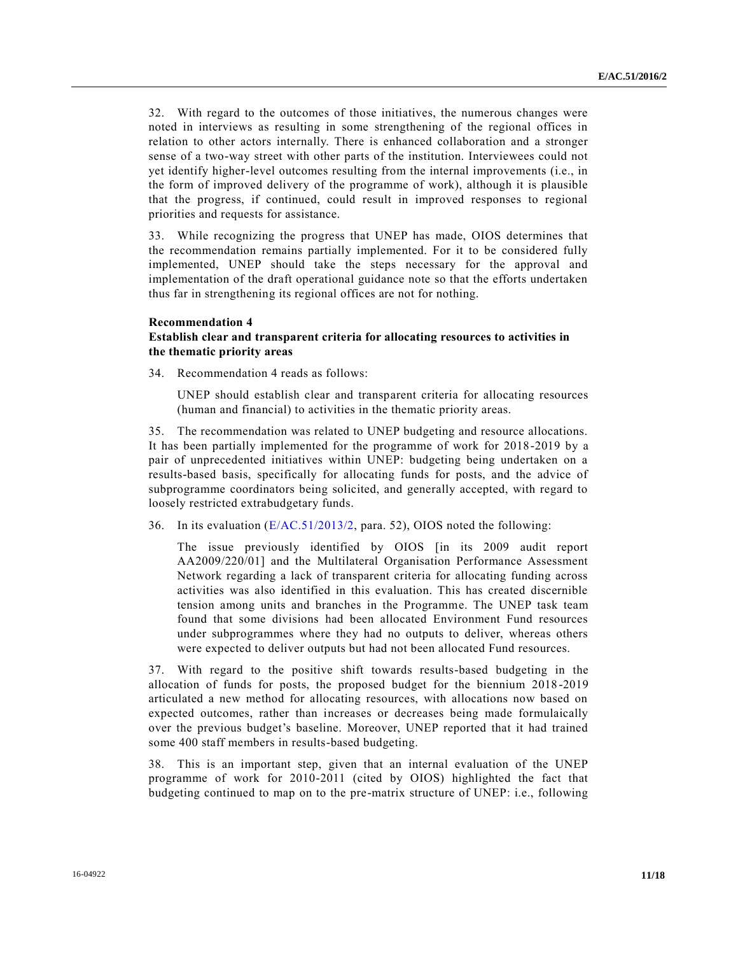32. With regard to the outcomes of those initiatives, the numerous changes were noted in interviews as resulting in some strengthening of the regional offices in relation to other actors internally. There is enhanced collaboration and a stronger sense of a two-way street with other parts of the institution. Interviewees could not yet identify higher-level outcomes resulting from the internal improvements (i.e., in the form of improved delivery of the programme of work), although it is plausible that the progress, if continued, could result in improved responses to regional priorities and requests for assistance.

33. While recognizing the progress that UNEP has made, OIOS determines that the recommendation remains partially implemented. For it to be considered fully implemented, UNEP should take the steps necessary for the approval and implementation of the draft operational guidance note so that the efforts undertaken thus far in strengthening its regional offices are not for nothing.

#### **Recommendation 4**

### **Establish clear and transparent criteria for allocating resources to activities in the thematic priority areas**

34. Recommendation 4 reads as follows:

UNEP should establish clear and transparent criteria for allocating resources (human and financial) to activities in the thematic priority areas.

35. The recommendation was related to UNEP budgeting and resource allocations. It has been partially implemented for the programme of work for 2018-2019 by a pair of unprecedented initiatives within UNEP: budgeting being undertaken on a results-based basis, specifically for allocating funds for posts, and the advice of subprogramme coordinators being solicited, and generally accepted, with regard to loosely restricted extrabudgetary funds.

36. In its evaluation [\(E/AC.51/2013/2,](http://undocs.org/E/AC.51/2013/2) para. 52), OIOS noted the following:

The issue previously identified by OIOS [in its 2009 audit report AA2009/220/01] and the Multilateral Organisation Performance Assessment Network regarding a lack of transparent criteria for allocating funding across activities was also identified in this evaluation. This has created discernible tension among units and branches in the Programme. The UNEP task team found that some divisions had been allocated Environment Fund resources under subprogrammes where they had no outputs to deliver, whereas others were expected to deliver outputs but had not been allocated Fund resources.

37. With regard to the positive shift towards results-based budgeting in the allocation of funds for posts, the proposed budget for the biennium 2018 -2019 articulated a new method for allocating resources, with allocations now based on expected outcomes, rather than increases or decreases being made formulaically over the previous budget's baseline. Moreover, UNEP reported that it had trained some 400 staff members in results-based budgeting.

38. This is an important step, given that an internal evaluation of the UNEP programme of work for 2010-2011 (cited by OIOS) highlighted the fact that budgeting continued to map on to the pre-matrix structure of UNEP: i.e., following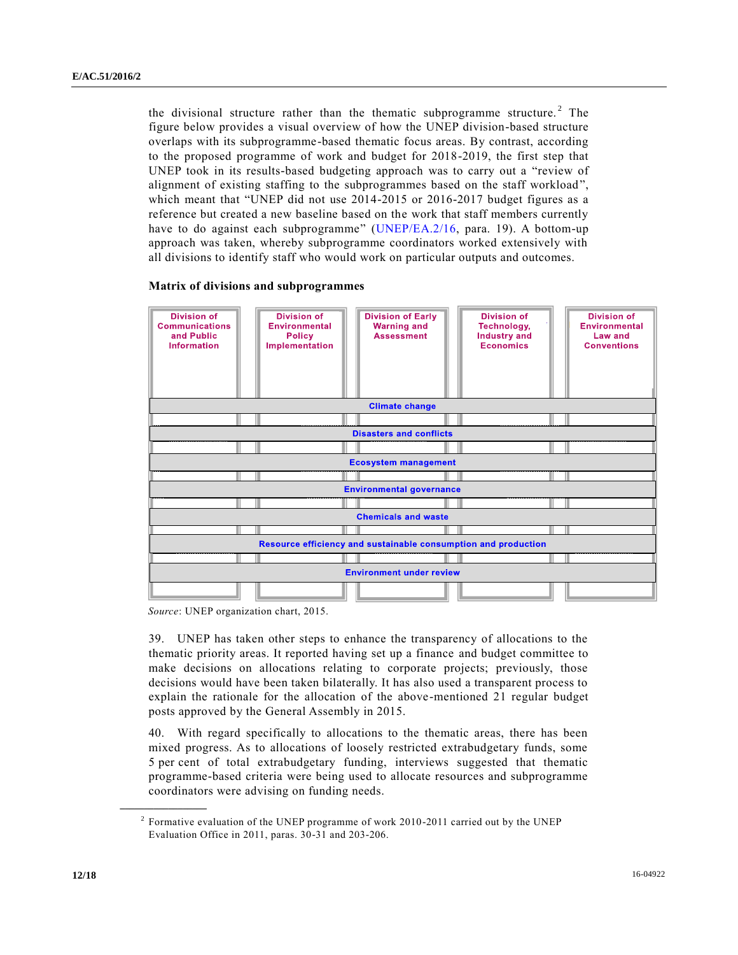the divisional structure rather than the thematic subprogramme structure.<sup>2</sup> The figure below provides a visual overview of how the UNEP division-based structure overlaps with its subprogramme-based thematic focus areas. By contrast, according to the proposed programme of work and budget for 2018-2019, the first step that UNEP took in its results-based budgeting approach was to carry out a "review of alignment of existing staffing to the subprogrammes based on the staff workload", which meant that "UNEP did not use 2014-2015 or 2016-2017 budget figures as a reference but created a new baseline based on the work that staff members currently have to do against each subprogramme" [\(UNEP/EA.2/16,](http://undocs.org/UNEP/EA.2/16) para. 19). A bottom-up approach was taken, whereby subprogramme coordinators worked extensively with all divisions to identify staff who would work on particular outputs and outcomes.

#### **Matrix of divisions and subprogrammes**

| <b>Division of</b><br><b>Communications</b><br>and Public<br><b>Information</b> | <b>Division of</b><br><b>Environmental</b><br><b>Policy</b><br>Implementation | <b>Division of Early</b><br><b>Warning and</b><br><b>Assessment</b> | <b>Division of</b><br>Technology,<br><b>Industry and</b><br><b>Economics</b> | <b>Division of</b><br><b>Environmental</b><br>Law and<br><b>Conventions</b> |
|---------------------------------------------------------------------------------|-------------------------------------------------------------------------------|---------------------------------------------------------------------|------------------------------------------------------------------------------|-----------------------------------------------------------------------------|
| <b>Climate change</b>                                                           |                                                                               |                                                                     |                                                                              |                                                                             |
|                                                                                 |                                                                               |                                                                     |                                                                              |                                                                             |
| <b>Disasters and conflicts</b>                                                  |                                                                               |                                                                     |                                                                              |                                                                             |
|                                                                                 |                                                                               |                                                                     |                                                                              |                                                                             |
| <b>Ecosystem management</b>                                                     |                                                                               |                                                                     |                                                                              |                                                                             |
|                                                                                 |                                                                               |                                                                     |                                                                              |                                                                             |
| <b>Environmental governance</b>                                                 |                                                                               |                                                                     |                                                                              |                                                                             |
|                                                                                 |                                                                               |                                                                     |                                                                              |                                                                             |
| <b>Chemicals and waste</b>                                                      |                                                                               |                                                                     |                                                                              |                                                                             |
|                                                                                 |                                                                               |                                                                     |                                                                              |                                                                             |
| Resource efficiency and sustainable consumption and production                  |                                                                               |                                                                     |                                                                              |                                                                             |
|                                                                                 |                                                                               |                                                                     |                                                                              |                                                                             |
| <b>Environment under review</b>                                                 |                                                                               |                                                                     |                                                                              |                                                                             |
|                                                                                 |                                                                               |                                                                     |                                                                              |                                                                             |

*Source*: UNEP organization chart, 2015.

39. UNEP has taken other steps to enhance the transparency of allocations to the thematic priority areas. It reported having set up a finance and budget committee to make decisions on allocations relating to corporate projects; previously, those decisions would have been taken bilaterally. It has also used a transparent process to explain the rationale for the allocation of the above-mentioned 21 regular budget posts approved by the General Assembly in 2015.

40. With regard specifically to allocations to the thematic areas, there has been mixed progress. As to allocations of loosely restricted extrabudgetary funds, some 5 per cent of total extrabudgetary funding, interviews suggested that thematic programme-based criteria were being used to allocate resources and subprogramme coordinators were advising on funding needs.

<sup>&</sup>lt;sup>2</sup> Formative evaluation of the UNEP programme of work 2010-2011 carried out by the UNEP Evaluation Office in 2011, paras. 30-31 and 203-206.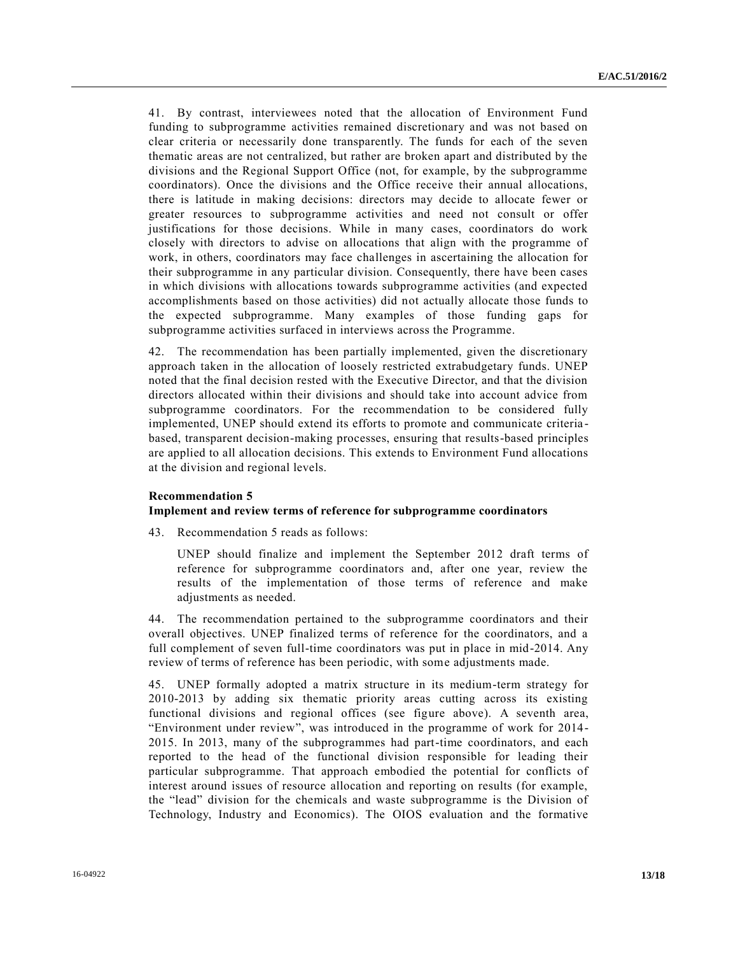41. By contrast, interviewees noted that the allocation of Environment Fund funding to subprogramme activities remained discretionary and was not based on clear criteria or necessarily done transparently. The funds for each of the seven thematic areas are not centralized, but rather are broken apart and distributed by the divisions and the Regional Support Office (not, for example, by the subprogramme coordinators). Once the divisions and the Office receive their annual allocations, there is latitude in making decisions: directors may decide to allocate fewer or greater resources to subprogramme activities and need not consult or offer justifications for those decisions. While in many cases, coordinators do work closely with directors to advise on allocations that align with the programme of work, in others, coordinators may face challenges in ascertaining the allocation for their subprogramme in any particular division. Consequently, there have been cases in which divisions with allocations towards subprogramme activities (and expected accomplishments based on those activities) did not actually allocate those funds to the expected subprogramme. Many examples of those funding gaps for subprogramme activities surfaced in interviews across the Programme.

42. The recommendation has been partially implemented, given the discretionary approach taken in the allocation of loosely restricted extrabudgetary funds. UNEP noted that the final decision rested with the Executive Director, and that the division directors allocated within their divisions and should take into account advice from subprogramme coordinators. For the recommendation to be considered fully implemented, UNEP should extend its efforts to promote and communicate criteria based, transparent decision-making processes, ensuring that results-based principles are applied to all allocation decisions. This extends to Environment Fund allocations at the division and regional levels.

#### **Recommendation 5**

#### **Implement and review terms of reference for subprogramme coordinators**

43. Recommendation 5 reads as follows:

UNEP should finalize and implement the September 2012 draft terms of reference for subprogramme coordinators and, after one year, review the results of the implementation of those terms of reference and make adjustments as needed.

44. The recommendation pertained to the subprogramme coordinators and their overall objectives. UNEP finalized terms of reference for the coordinators, and a full complement of seven full-time coordinators was put in place in mid-2014. Any review of terms of reference has been periodic, with some adjustments made.

45. UNEP formally adopted a matrix structure in its medium-term strategy for 2010-2013 by adding six thematic priority areas cutting across its existing functional divisions and regional offices (see figure above). A seventh area, "Environment under review", was introduced in the programme of work for 2014- 2015. In 2013, many of the subprogrammes had part-time coordinators, and each reported to the head of the functional division responsible for leading their particular subprogramme. That approach embodied the potential for conflicts of interest around issues of resource allocation and reporting on results (for example, the "lead" division for the chemicals and waste subprogramme is the Division of Technology, Industry and Economics). The OIOS evaluation and the formative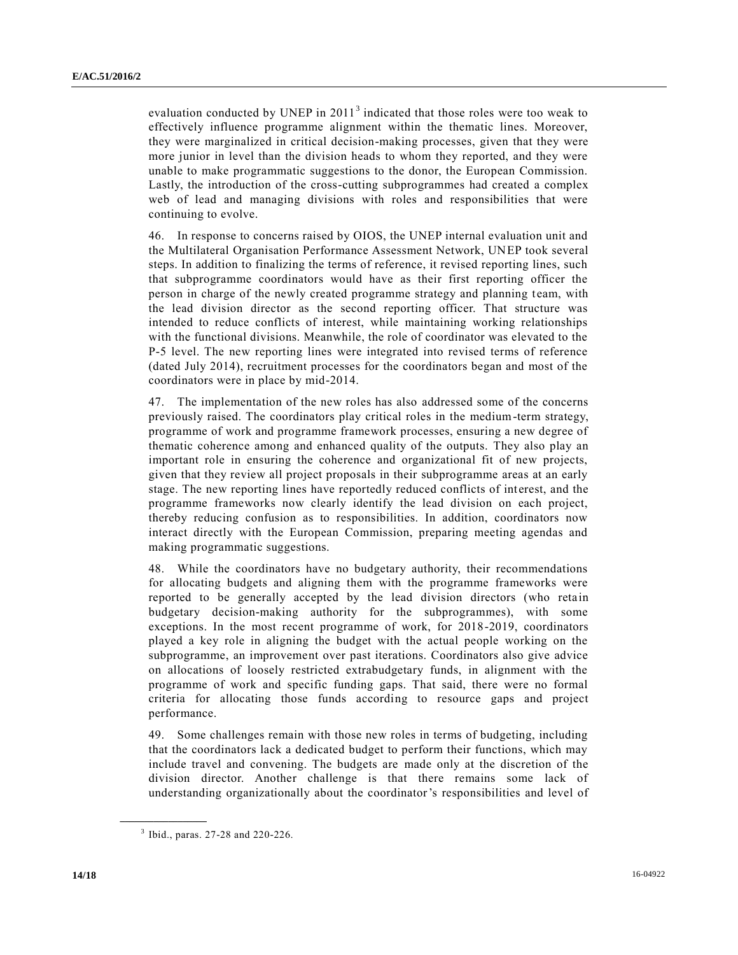evaluation conducted by UNEP in  $2011<sup>3</sup>$  indicated that those roles were too weak to effectively influence programme alignment within the thematic lines. Moreover, they were marginalized in critical decision-making processes, given that they were more junior in level than the division heads to whom they reported, and they were unable to make programmatic suggestions to the donor, the European Commission. Lastly, the introduction of the cross-cutting subprogrammes had created a complex web of lead and managing divisions with roles and responsibilities that were continuing to evolve.

46. In response to concerns raised by OIOS, the UNEP internal evaluation unit and the Multilateral Organisation Performance Assessment Network, UNEP took several steps. In addition to finalizing the terms of reference, it revised reporting lines, such that subprogramme coordinators would have as their first reporting officer the person in charge of the newly created programme strategy and planning team, with the lead division director as the second reporting officer. That structure was intended to reduce conflicts of interest, while maintaining working relationships with the functional divisions. Meanwhile, the role of coordinator was elevated to the P-5 level. The new reporting lines were integrated into revised terms of reference (dated July 2014), recruitment processes for the coordinators began and most of the coordinators were in place by mid-2014.

47. The implementation of the new roles has also addressed some of the concerns previously raised. The coordinators play critical roles in the medium-term strategy, programme of work and programme framework processes, ensuring a new degree of thematic coherence among and enhanced quality of the outputs. They also play an important role in ensuring the coherence and organizational fit of new projects, given that they review all project proposals in their subprogramme areas at an early stage. The new reporting lines have reportedly reduced conflicts of int erest, and the programme frameworks now clearly identify the lead division on each project, thereby reducing confusion as to responsibilities. In addition, coordinators now interact directly with the European Commission, preparing meeting agendas and making programmatic suggestions.

48. While the coordinators have no budgetary authority, their recommendations for allocating budgets and aligning them with the programme frameworks were reported to be generally accepted by the lead division directors (who retain budgetary decision-making authority for the subprogrammes), with some exceptions. In the most recent programme of work, for 2018-2019, coordinators played a key role in aligning the budget with the actual people working on the subprogramme, an improvement over past iterations. Coordinators also give advice on allocations of loosely restricted extrabudgetary funds, in alignment with the programme of work and specific funding gaps. That said, there were no formal criteria for allocating those funds according to resource gaps and project performance.

49. Some challenges remain with those new roles in terms of budgeting, including that the coordinators lack a dedicated budget to perform their functions, which may include travel and convening. The budgets are made only at the discretion of the division director. Another challenge is that there remains some lack of understanding organizationally about the coordinator's responsibilities and level of

<sup>3</sup> Ibid., paras. 27-28 and 220-226.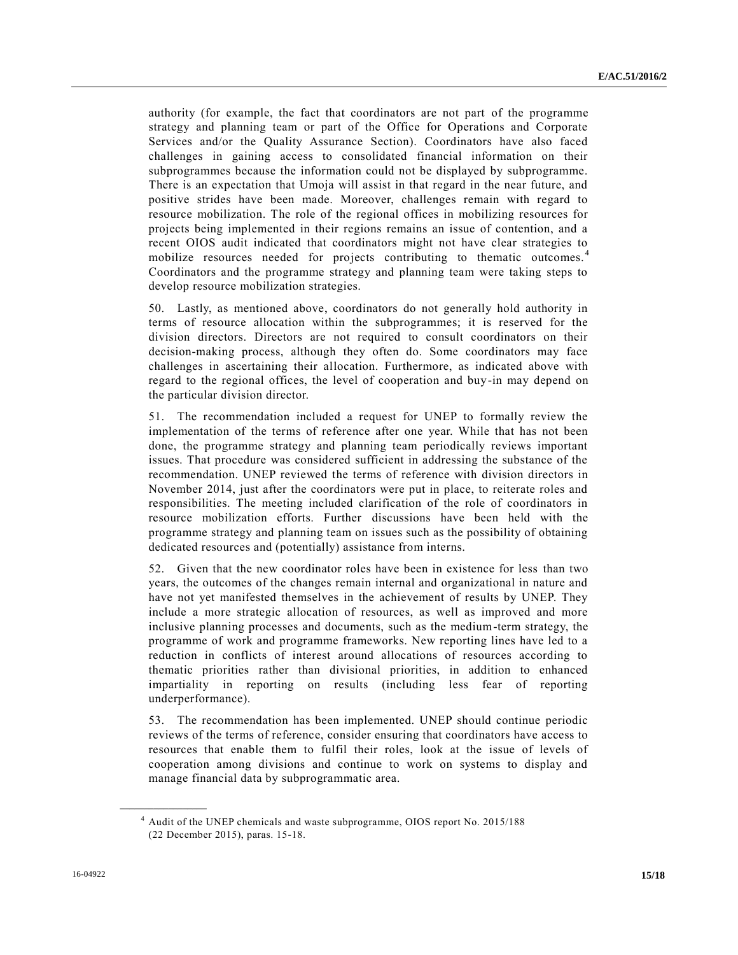authority (for example, the fact that coordinators are not part of the programme strategy and planning team or part of the Office for Operations and Corporate Services and/or the Quality Assurance Section). Coordinators have also faced challenges in gaining access to consolidated financial information on their subprogrammes because the information could not be displayed by subprogramme. There is an expectation that Umoja will assist in that regard in the near future, and positive strides have been made. Moreover, challenges remain with regard to resource mobilization. The role of the regional offices in mobilizing resources for projects being implemented in their regions remains an issue of contention, and a recent OIOS audit indicated that coordinators might not have clear strategies to mobilize resources needed for projects contributing to thematic outcomes.<sup>4</sup> Coordinators and the programme strategy and planning team were taking steps to develop resource mobilization strategies.

50. Lastly, as mentioned above, coordinators do not generally hold authority in terms of resource allocation within the subprogrammes; it is reserved for the division directors. Directors are not required to consult coordinators on their decision-making process, although they often do. Some coordinators may face challenges in ascertaining their allocation. Furthermore, as indicated above with regard to the regional offices, the level of cooperation and buy-in may depend on the particular division director.

51. The recommendation included a request for UNEP to formally review the implementation of the terms of reference after one year. While that has not been done, the programme strategy and planning team periodically reviews important issues. That procedure was considered sufficient in addressing the substance of the recommendation. UNEP reviewed the terms of reference with division directors in November 2014, just after the coordinators were put in place, to reiterate roles and responsibilities. The meeting included clarification of the role of coordinators in resource mobilization efforts. Further discussions have been held with the programme strategy and planning team on issues such as the possibility of obtaining dedicated resources and (potentially) assistance from interns.

52. Given that the new coordinator roles have been in existence for less than two years, the outcomes of the changes remain internal and organizational in nature and have not yet manifested themselves in the achievement of results by UNEP. They include a more strategic allocation of resources, as well as improved and more inclusive planning processes and documents, such as the medium-term strategy, the programme of work and programme frameworks. New reporting lines have led to a reduction in conflicts of interest around allocations of resources according to thematic priorities rather than divisional priorities, in addition to enhanced impartiality in reporting on results (including less fear of reporting underperformance).

53. The recommendation has been implemented. UNEP should continue periodic reviews of the terms of reference, consider ensuring that coordinators have access to resources that enable them to fulfil their roles, look at the issue of levels of cooperation among divisions and continue to work on systems to display and manage financial data by subprogrammatic area.

<sup>4</sup> Audit of the UNEP chemicals and waste subprogramme, OIOS report No. 2015/188 (22 December 2015), paras. 15-18.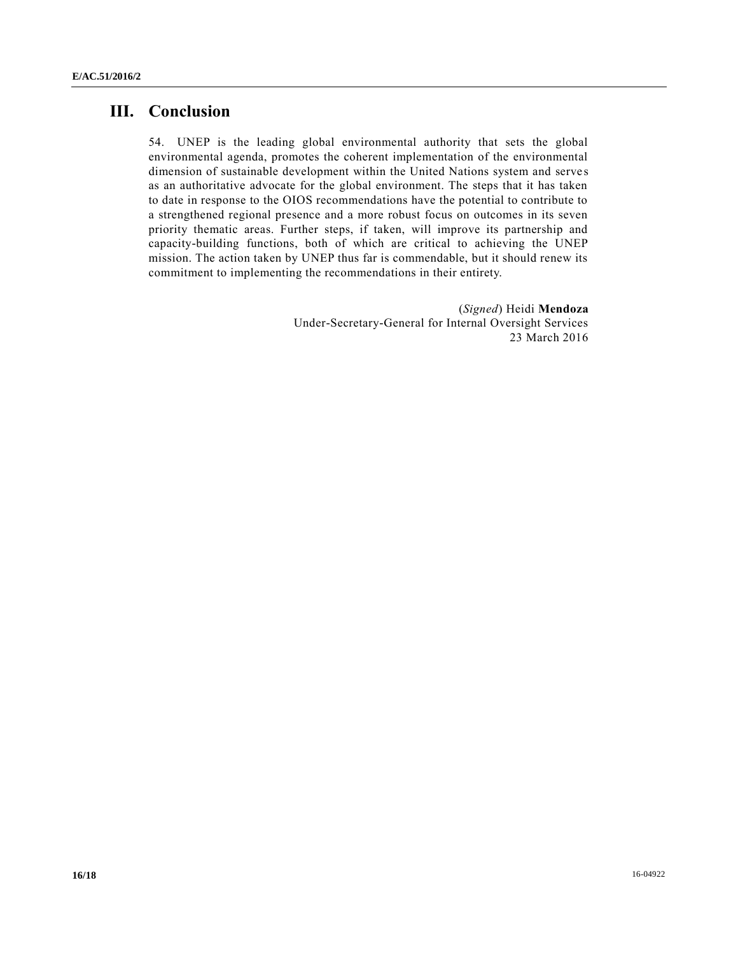# **III. Conclusion**

54. UNEP is the leading global environmental authority that sets the global environmental agenda, promotes the coherent implementation of the environmental dimension of sustainable development within the United Nations system and serve s as an authoritative advocate for the global environment. The steps that it has taken to date in response to the OIOS recommendations have the potential to contribute to a strengthened regional presence and a more robust focus on outcomes in its seven priority thematic areas. Further steps, if taken, will improve its partnership and capacity-building functions, both of which are critical to achieving the UNEP mission. The action taken by UNEP thus far is commendable, but it should renew its commitment to implementing the recommendations in their entirety.

> (*Signed*) Heidi **Mendoza** Under-Secretary-General for Internal Oversight Services 23 March 2016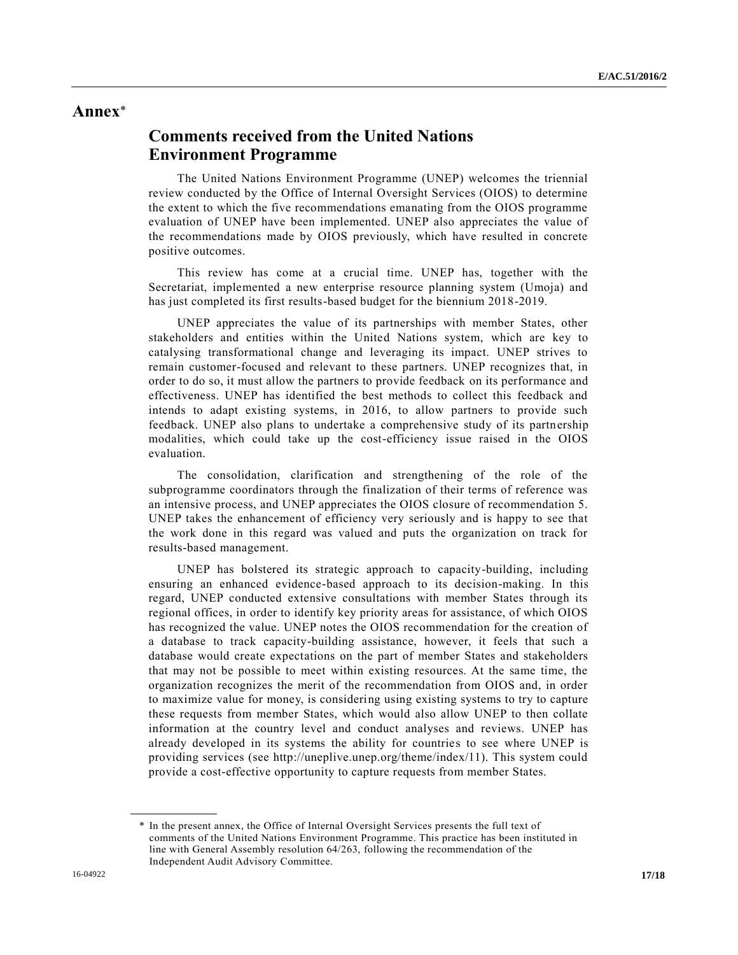## **Annex**\*

# **Comments received from the United Nations Environment Programme**

The United Nations Environment Programme (UNEP) welcomes the triennial review conducted by the Office of Internal Oversight Services (OIOS) to determine the extent to which the five recommendations emanating from the OIOS programme evaluation of UNEP have been implemented. UNEP also appreciates the value of the recommendations made by OIOS previously, which have resulted in concrete positive outcomes.

This review has come at a crucial time. UNEP has, together with the Secretariat, implemented a new enterprise resource planning system (Umoja) and has just completed its first results-based budget for the biennium 2018-2019.

UNEP appreciates the value of its partnerships with member States, other stakeholders and entities within the United Nations system, which are key to catalysing transformational change and leveraging its impact. UNEP strives to remain customer-focused and relevant to these partners. UNEP recognizes that, in order to do so, it must allow the partners to provide feedback on its performance and effectiveness. UNEP has identified the best methods to collect this feedback and intends to adapt existing systems, in 2016, to allow partners to provide such feedback. UNEP also plans to undertake a comprehensive study of its partnership modalities, which could take up the cost-efficiency issue raised in the OIOS evaluation.

The consolidation, clarification and strengthening of the role of the subprogramme coordinators through the finalization of their terms of reference was an intensive process, and UNEP appreciates the OIOS closure of recommendation 5. UNEP takes the enhancement of efficiency very seriously and is happy to see that the work done in this regard was valued and puts the organization on track for results-based management.

UNEP has bolstered its strategic approach to capacity-building, including ensuring an enhanced evidence-based approach to its decision-making. In this regard, UNEP conducted extensive consultations with member States through its regional offices, in order to identify key priority areas for assistance, of which OIOS has recognized the value. UNEP notes the OIOS recommendation for the creation of a database to track capacity-building assistance, however, it feels that such a database would create expectations on the part of member States and stakeholders that may not be possible to meet within existing resources. At the same time, the organization recognizes the merit of the recommendation from OIOS and, in order to maximize value for money, is considering using existing systems to try to capture these requests from member States, which would also allow UNEP to then collate information at the country level and conduct analyses and reviews. UNEP has already developed in its systems the ability for countries to see where UNEP is providing services (see http://uneplive.unep.org/theme/index/11). This system could provide a cost-effective opportunity to capture requests from member States.

<sup>\*</sup> In the present annex, the Office of Internal Oversight Services presents the full text of comments of the United Nations Environment Programme. This practice has been instituted in line with General Assembly resolution 64/263, following the recommendation of the Independent Audit Advisory Committee.